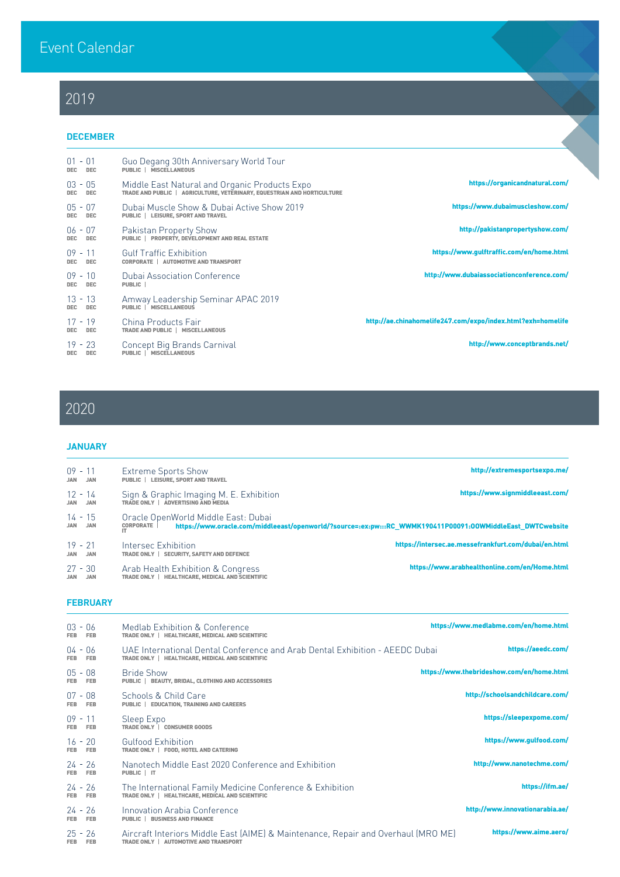## 2019

## DECEMBER

| $01 - 01$<br><b>DEC</b><br><b>DEC</b> | Guo Degang 30th Anniversary World Tour<br><b>PUBLIC   MISCELLANEOUS</b>                                                  |                                                             |
|---------------------------------------|--------------------------------------------------------------------------------------------------------------------------|-------------------------------------------------------------|
| $03 - 05$<br><b>DEC</b><br>DEC.       | Middle East Natural and Organic Products Expo<br>TRADE AND PUBLIC   AGRICULTURE, VETERINARY, EQUESTRIAN AND HORTICULTURE | https://organicandnatural.com/                              |
| $05 - 07$<br><b>DEC</b><br><b>DEC</b> | Dubai Muscle Show & Dubai Active Show 2019<br><b>PUBLIC   LEISURE, SPORT AND TRAVEL</b>                                  | https://www.dubaimuscleshow.com/                            |
| $06 - 07$<br><b>DEC</b><br><b>DEC</b> | Pakistan Property Show<br>PUBLIC   PROPERTY, DEVELOPMENT AND REAL ESTATE                                                 | http://pakistanpropertyshow.com/                            |
| $09 - 11$<br><b>DEC</b><br>DEC.       | <b>Gulf Traffic Exhibition</b><br><b>CORPORATE   AUTOMOTIVE AND TRANSPORT</b>                                            | https://www.gulftraffic.com/en/home.html                    |
| $09 - 10$<br><b>DEC</b><br><b>DEC</b> | <b>Dubai Association Conference</b><br><b>PUBLIC</b>                                                                     | http://www.dubaiassociationconference.com/                  |
| $13 - 13$<br><b>DEC</b><br><b>DEC</b> | Amway Leadership Seminar APAC 2019<br>PUBLIC   MISCELLANEOUS                                                             |                                                             |
| $17 - 19$<br><b>DEC</b><br><b>DEC</b> | China Products Fair<br>TRADE AND PUBLIC   MISCELLANEOUS                                                                  | http://ae.chinahomelife247.com/expo/index.html?exh=homelife |
| $19 - 23$<br><b>DEC</b><br><b>DEC</b> | Concept Big Brands Carnival<br><b>MISCELLANEOUS</b><br><b>PUBLIC</b>                                                     | http://www.conceptbrands.net/                               |
|                                       |                                                                                                                          |                                                             |

# 2020

#### **JANUARY**

| $09 - 11$<br><b>JAN JAN</b>           | <b>Extreme Sports Show</b><br><b>PUBLIC   LEISURE, SPORT AND TRAVEL</b>              | http://extremesportsexpo.me/                                                                               |
|---------------------------------------|--------------------------------------------------------------------------------------|------------------------------------------------------------------------------------------------------------|
| 12 - 14<br><b>JAN</b><br><b>JAN</b>   | Sign & Graphic Imaging M. E. Exhibition<br>TRADE ONLY   ADVERTISING AND MEDIA        | https://www.signmiddleeast.com/                                                                            |
| 14 - 15<br>JAN JAN                    | Oracle OpenWorld Middle East: Dubai<br><b>CORPORATE</b>                              | https://www.oracle.com/middleeast/openworld/?source=:ex:pw:::RC_WWMK190411P00091:00WMiddleEast_DWTCwebsite |
| $19 - 21$<br><b>JAN</b><br><b>JAN</b> | Intersec Exhibition<br><b>SECURITY, SAFETY AND DEFENCE</b><br><b>TRADE ONLY</b>      | https://intersec.ae.messefrankfurt.com/dubai/en.html                                                       |
| $27 - 30$<br><b>JAN JAN</b>           | Arab Health Exhibition & Congress<br>TRADE ONLY   HEALTHCARE. MEDICAL AND SCIENTIFIC | https://www.arabhealthonline.com/en/Home.html                                                              |

## **FEBRUARY**

| $03 - 06$<br>FEB FEB | Medlab Exhibition & Conference<br>TRADE ONLY   HEALTHCARE, MEDICAL AND SCIENTIFIC                                               | https://www.medlabme.com/en/home.html |
|----------------------|---------------------------------------------------------------------------------------------------------------------------------|---------------------------------------|
| $04 - 06$<br>FEB FEB | UAE International Dental Conference and Arab Dental Exhibition - AEEDC Dubai<br>TRADE ONLY   HEALTHCARE, MEDICAL AND SCIENTIFIC | https://aeedc.com/                    |

| $05 - 08$<br><b>FEB</b> | FEB        | <b>Bride Show</b><br><b>BEAUTY, BRIDAL, CLOTHING AND ACCESSORIES</b><br><b>PUBLIC</b>                                                     | https://www.thebrideshow.com/en/home.html |
|-------------------------|------------|-------------------------------------------------------------------------------------------------------------------------------------------|-------------------------------------------|
| $07 - 08$<br>FEB FEB    |            | Schools & Child Care<br><b>PUBLIC   EDUCATION, TRAINING AND CAREERS</b>                                                                   | http://schoolsandchildcare.com/           |
| $09 - 11$<br>FEB.       | <b>FEB</b> | Sleep Expo<br>TRADE ONLY   CONSUMER GOODS                                                                                                 | https://sleepexpome.com/                  |
| $16 - 20$<br>FEB FEB    |            | <b>Gulfood Exhibition</b><br>TRADE ONLY   FOOD, HOTEL AND CATERING                                                                        | https://www.gulfood.com/                  |
| $24 - 26$<br>FEB FEB    |            | Nanotech Middle East 2020 Conference and Exhibition<br>PUBLIC   IT                                                                        | http://www.nanotechme.com/                |
| 24 - 26<br>FEB FEB      |            | The International Family Medicine Conference & Exhibition<br>TRADE ONLY   HEALTHCARE, MEDICAL AND SCIENTIFIC                              | https://ifm.ae/                           |
| 24 - 26<br><b>FEB</b>   | <b>FEB</b> | Innovation Arabia Conference<br><b>BUSINESS AND FINANCE</b><br><b>PUBLIC</b>                                                              | http://www.innovationarabia.ae/           |
| 25 - 26<br>FEB.         | <b>FEB</b> | Aircraft Interiors Middle East (AIME) & Maintenance, Repair and Overhaul (MRO ME)<br><b>AUTOMOTIVE AND TRANSPORT</b><br><b>TRADE ONLY</b> | https://www.aime.aero/                    |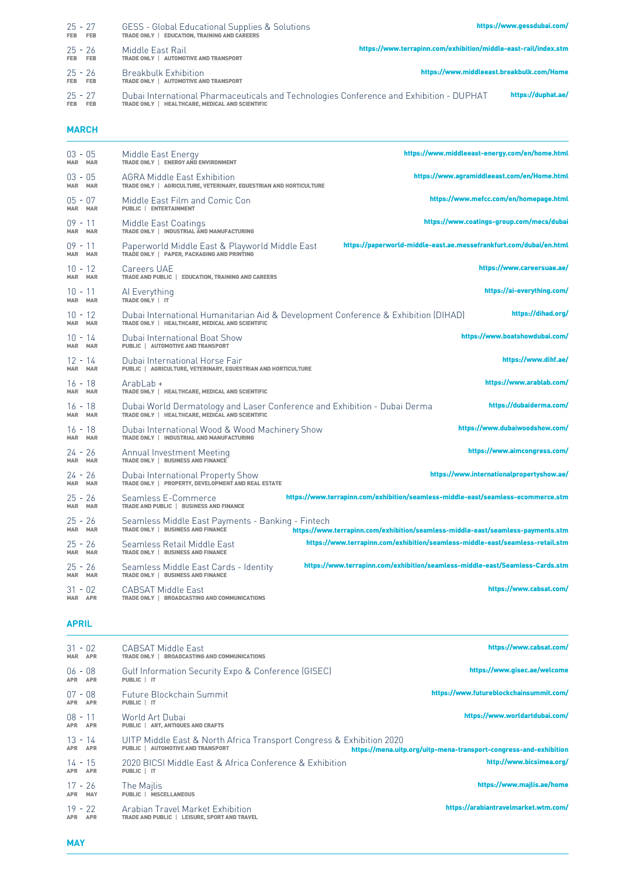## MARCH

| $25 - 27$<br>FEB FEB | GESS - Global Educational Supplies & Solutions<br>TRADE ONLY   EDUCATION, TRAINING AND CAREERS                                             | https://www.gessdubai.com/                                      |
|----------------------|--------------------------------------------------------------------------------------------------------------------------------------------|-----------------------------------------------------------------|
| 25 - 26<br>FEB FEB   | Middle East Rail<br>TRADE ONLY   AUTOMOTIVE AND TRANSPORT                                                                                  | https://www.terrapinn.com/exhibition/middle-east-rail/index.stm |
| 25 - 26<br>FEB FEB   | <b>Breakbulk Exhibition</b><br>TRADE ONLY   AUTOMOTIVE AND TRANSPORT                                                                       | https://www.middleeast.breakbulk.com/Home                       |
| $25 - 27$<br>FEB FEB | Dubai International Pharmaceuticals and Technologies Conference and Exhibition - DUPHAT<br>TRADE ONLY   HEALTHCARE, MEDICAL AND SCIENTIFIC | https://duphat.ae/                                              |

| $03 - 05$<br><b>MAR MAR</b> | Middle East Energy<br>TRADE ONLY   ENERGY AND ENVIRONMENT                                                                             | https://www.middleeast-energy.com/en/home.html                                   |
|-----------------------------|---------------------------------------------------------------------------------------------------------------------------------------|----------------------------------------------------------------------------------|
| $03 - 05$<br><b>MAR MAR</b> | <b>AGRA Middle East Exhibition</b><br>TRADE ONLY   AGRICULTURE, VETERINARY, EQUESTRIAN AND HORTICULTURE                               | https://www.agramiddleeast.com/en/Home.html                                      |
| $05 - 07$<br><b>MAR MAR</b> | Middle East Film and Comic Con<br><b>PUBLIC   ENTERTAINMENT</b>                                                                       | https://www.mefcc.com/en/homepage.html                                           |
| $09 - 11$<br><b>MAR MAR</b> | Middle East Coatings<br>TRADE ONLY   INDUSTRIAL AND MANUFACTURING                                                                     | https://www.coatings-group.com/mecs/dubai                                        |
| $09 - 11$<br><b>MAR MAR</b> | Paperworld Middle East & Playworld Middle East<br>TRADE ONLY   PAPER, PACKAGING AND PRINTING                                          | https://paperworld-middle-east.ae.messefrankfurt.com/dubai/en.html               |
| $10 - 12$<br><b>MAR MAR</b> | <b>Careers UAE</b><br>TRADE AND PUBLIC   EDUCATION, TRAINING AND CAREERS                                                              | https://www.careersuae.ae/                                                       |
| $10 - 11$<br><b>MAR MAR</b> | Al Everything<br>TRADE ONLY   IT                                                                                                      | https://ai-everything.com/                                                       |
| $10 - 12$<br>MAR MAR        | Dubai International Humanitarian Aid & Development Conference & Exhibition (DIHAD)<br>TRADE ONLY   HEALTHCARE, MEDICAL AND SCIENTIFIC | https://dihad.org/                                                               |
| $10 - 14$<br><b>MAR MAR</b> | Dubai International Boat Show<br><b>PUBLIC   AUTOMOTIVE AND TRANSPORT</b>                                                             | https://www.boatshowdubai.com/                                                   |
| $12 - 14$<br><b>MAR MAR</b> | Dubai International Horse Fair<br><b>PUBLIC   AGRICULTURE, VETERINARY, EQUESTRIAN AND HORTICULTURE</b>                                | https://www.dihf.ae/                                                             |
| $16 - 18$<br><b>MAR MAR</b> | ArabLab +<br>TRADE ONLY   HEALTHCARE, MEDICAL AND SCIENTIFIC                                                                          | https://www.arablab.com/                                                         |
| $16 - 18$<br><b>MAR MAR</b> | Dubai World Dermatology and Laser Conference and Exhibition - Dubai Derma<br>TRADE ONLY   HEALTHCARE, MEDICAL AND SCIENTIFIC          | https://dubaiderma.com/                                                          |
| $16 - 18$<br><b>MAR MAR</b> | Dubai International Wood & Wood Machinery Show<br>TRADE ONLY   INDUSTRIAL AND MANUFACTURING                                           | https://www.dubaiwoodshow.com/                                                   |
| 24 - 26<br><b>MAR MAR</b>   | <b>Annual Investment Meeting</b><br>TRADE ONLY   BUSINESS AND FINANCE                                                                 | https://www.aimcongress.com/                                                     |
| $24 - 26$<br><b>MAR MAR</b> | Dubai International Property Show<br>TRADE ONLY   PROPERTY, DEVELOPMENT AND REAL ESTATE                                               | https://www.internationalpropertyshow.ae/                                        |
| $25 - 26$<br><b>MAR MAR</b> | Seamless E-Commerce<br>TRADE AND PUBLIC   BUSINESS AND FINANCE                                                                        | https://www.terrapinn.com/exhibition/seamless-middle-east/seamless-ecommerce.stm |
| $25 - 26$<br><b>MAR MAR</b> | Seamless Middle East Payments - Banking - Fintech<br><b>TRADE ONLY   BUSINESS AND FINANCE</b>                                         | https://www.terrapinn.com/exhibition/seamless-middle-east/seamless-payments.stm  |
| $25 - 26$<br><b>MAR MAR</b> | Seamless Retail Middle East<br>TRADE ONLY   BUSINESS AND FINANCE                                                                      | https://www.terrapinn.com/exhibition/seamless-middle-east/seamless-retail.stm    |
| $25 - 26$<br><b>MAR MAR</b> | Seamless Middle East Cards - Identity<br>TRADE ONLY   BUSINESS AND FINANCE                                                            | https://www.terrapinn.com/exhibition/seamless-middle-east/Seamless-Cards.stm     |
| $31 - 02$<br>MAR APR        | <b>CABSAT Middle East</b><br>TRADE ONLY   BROADCASTING AND COMMUNICATIONS                                                             | https://www.cabsat.com/                                                          |

| https://www.gisec.ae/welcome                                      | Gulf Information Security Expo & Conference (GISEC)<br>PUBLIC   IT                                                       | $06 - 08$<br><b>APR</b><br><b>APR</b> |
|-------------------------------------------------------------------|--------------------------------------------------------------------------------------------------------------------------|---------------------------------------|
| https://www.futureblockchainsummit.com/                           | Future Blockchain Summit<br>PUBLIC   IT                                                                                  | $07 - 08$<br><b>APR</b><br><b>APR</b> |
| https://www.worldartdubai.com/                                    | World Art Dubai<br><b>PUBLIC   ART, ANTIQUES AND CRAFTS</b>                                                              | $08 - 11$<br><b>APR</b><br><b>APR</b> |
| https://mena.uitp.org/uitp-mena-transport-congress-and-exhibition | UITP Middle East & North Africa Transport Congress & Exhibition 2020<br><b>AUTOMOTIVE AND TRANSPORT</b><br><b>PUBLIC</b> | $13 - 14$<br><b>APR</b><br><b>APR</b> |
| http://www.bicsimea.org/                                          | 2020 BICSI Middle East & Africa Conference & Exhibition<br>PUBLIC   IT                                                   | $14 - 15$<br><b>APR</b><br><b>APR</b> |
| https://www.majlis.ae/home                                        | The Majlis<br><b>MISCELLANEOUS</b><br>PUBLIC                                                                             | $17 - 26$<br><b>MAY</b><br><b>APR</b> |
| https://arabiantravelmarket.wtm.com/                              | Arabian Travel Market Exhibition<br>TRADE AND PUBLIC   LEISURE, SPORT AND TRAVEL                                         | $19 - 22$<br><b>APR</b><br><b>APR</b> |

## APRIL

#### MAY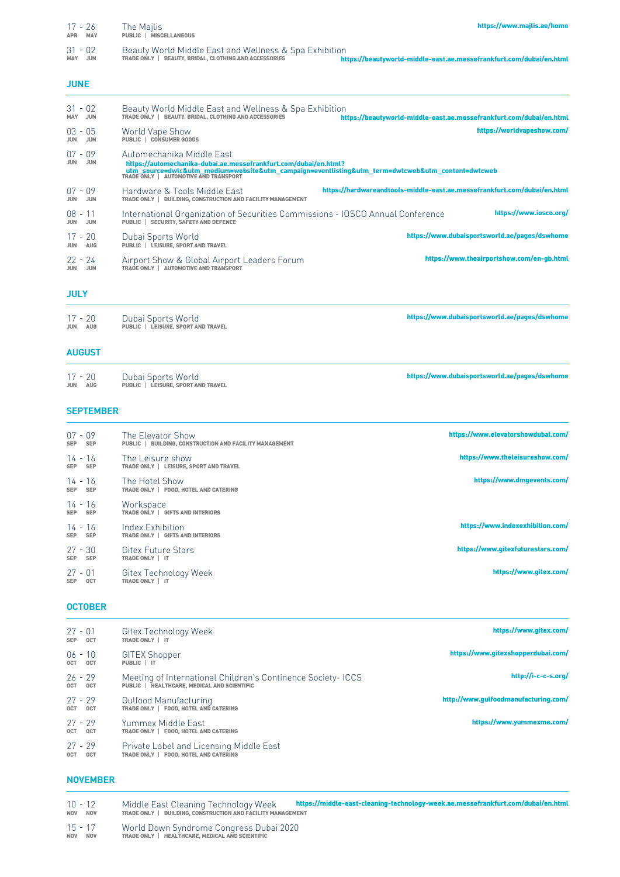| $17 - 26$<br><b>APR MAY</b>           | The Majlis<br>PUBLIC   MISCELLANEOUS                                                                                                                                                                                                       | https://www.majlis.ae/home                                               |
|---------------------------------------|--------------------------------------------------------------------------------------------------------------------------------------------------------------------------------------------------------------------------------------------|--------------------------------------------------------------------------|
| $31 - 02$<br><b>MAY JUN</b>           | Beauty World Middle East and Wellness & Spa Exhibition<br>TRADE ONLY   BEAUTY, BRIDAL, CLOTHING AND ACCESSORIES                                                                                                                            | https://beautyworld-middle-east.ae.messefrankfurt.com/dubai/en.html      |
| <b>JUNE</b>                           |                                                                                                                                                                                                                                            |                                                                          |
| $31 - 02$<br><b>MAY JUN</b>           | Beauty World Middle East and Wellness & Spa Exhibition<br>TRADE ONLY   BEAUTY, BRIDAL, CLOTHING AND ACCESSORIES                                                                                                                            | https://beautyworld-middle-east.ae.messefrankfurt.com/dubai/en.html      |
| $03 - 05$<br><b>JUN</b><br><b>JUN</b> | World Vape Show<br><b>PUBLIC   CONSUMER GOODS</b>                                                                                                                                                                                          | https://worldvapeshow.com/                                               |
| $07 - 09$<br><b>JUN</b><br><b>JUN</b> | Automechanika Middle East<br>https://automechanika-dubai.ae.messefrankfurt.com/dubai/en.html?<br>utm_source=dwtc&utm_medium=website&utm_campaign=eventlisting&utm_term=dwtcweb&utm_content=dwtcweb<br>TRADEONLY   AUTOMOTIVE AND TRANSPORT |                                                                          |
| $07 - 09$<br><b>JUN JUN</b>           | Hardware & Tools Middle East<br>TRADE ONLY   BUILDING, CONSTRUCTION AND FACILITY MANAGEMENT                                                                                                                                                | https://hardwareandtools-middle-east.ae.messefrankfurt.com/dubai/en.html |
| $08 - 11$<br><b>JUN</b><br><b>JUN</b> | International Organization of Securities Commissions - IOSCO Annual Conference<br>PUBLIC   SECURITY, SAFETY AND DEFENCE                                                                                                                    | https://www.iosco.org/                                                   |
| $17 - 20$<br><b>JUN AUG</b>           | Dubai Sports World<br>PUBLIC   LEISURE, SPORT AND TRAVEL                                                                                                                                                                                   | https://www.dubaisportsworld.ae/pages/dswhome                            |
| $22 - 24$<br><b>JUN JUN</b>           | Airport Show & Global Airport Leaders Forum<br>TRADE ONLY   AUTOMOTIVE AND TRANSPORT                                                                                                                                                       | https://www.theairportshow.com/en-gb.html                                |
| <b>JULY</b>                           |                                                                                                                                                                                                                                            |                                                                          |
| $17 - 20$<br><b>JUN AUG</b>           | Dubai Sports World<br>PUBLIC   LEISURE, SPORT AND TRAVEL                                                                                                                                                                                   | https://www.dubaisportsworld.ae/pages/dswhome                            |

| $17 - 20$      | Dubai Sports World                        | https://www.dubaisportsworld.ae/pages/dswhome |
|----------------|-------------------------------------------|-----------------------------------------------|
| <b>JUN AUG</b> | <b>PUBLIC   LEISURE, SPORT AND TRAVEL</b> |                                               |

#### AUGUST

| $07 - 09$<br><b>SEP</b> | <b>SEP</b> | The Elevator Show<br>PUBLIC   BUILDING, CONSTRUCTION AND FACILITY MANAGEMENT | https://www.elevatorshowdubai.com/ |
|-------------------------|------------|------------------------------------------------------------------------------|------------------------------------|
| 14 - 16<br><b>SEP</b>   | <b>SEP</b> | The Leisure show<br>TRADE ONLY   LEISURE, SPORT AND TRAVEL                   | https://www.theleisureshow.com/    |
| 14 - 16<br><b>SEP</b>   | <b>SEP</b> | The Hotel Show<br>TRADE ONLY   FOOD, HOTEL AND CATERING                      | https://www.dmgevents.com/         |
| $14 - 16$<br><b>SEP</b> | <b>SEP</b> | Workspace<br>TRADE ONLY   GIFTS AND INTERIORS                                |                                    |
| $14 - 16$<br><b>SEP</b> | <b>SEP</b> | Index Exhibition<br>TRADE ONLY   GIFTS AND INTERIORS                         | https://www.indexexhibition.com/   |
| $27 - 30$<br><b>SEP</b> | <b>SEP</b> | <b>Gitex Future Stars</b><br>TRADE ONLY   IT                                 | https://www.gitexfuturestars.com/  |
| $27 - 01$<br><b>SEP</b> | <b>OCT</b> | Gitex Technology Week<br>TRADE ONLY   IT                                     | https://www.gitex.com/             |

## **OCTOBER**

## SEPTEMBER

| https://www.gitex.com/               | Gitex Technology Week<br>TRADE ONLY   IT                                                                          | $27 - 01$<br><b>OCT</b> | <b>SEP</b> |
|--------------------------------------|-------------------------------------------------------------------------------------------------------------------|-------------------------|------------|
| https://www.gitexshopperdubai.com/   | GITEX Shopper<br>PUBLIC   IT                                                                                      | $06 - 10$<br><b>OCT</b> | <b>OCT</b> |
| http://i-c-c-s.org/                  | Meeting of International Children's Continence Society-ICCS<br><b>PUBLIC   HEALTHCARE, MEDICAL AND SCIENTIFIC</b> | $26 - 29$<br>OCT OCT    |            |
| http://www.gulfoodmanufacturing.com/ | Gulfood Manufacturing<br><b>FOOD, HOTEL AND CATERING</b><br><b>TRADE ONLY</b>                                     | $27 - 29$<br><b>OCT</b> | <b>OCT</b> |
| https://www.yummexme.com/            | Yummex Middle East<br><b>FOOD, HOTEL AND CATERING</b><br><b>TRADE ONLY</b>                                        | $27 - 29$<br><b>OCT</b> | <b>OCT</b> |
|                                      | Private Label and Licensing Middle East<br>TRADE ONLY   FOOD, HOTEL AND CATERING                                  | $27 - 29$<br><b>OCT</b> | <b>OCT</b> |

| $10 - 12$<br>NOV NOV | Middle East Cleaning Technology Week<br>TRADE ONLY   BUILDING, CONSTRUCTION AND FACILITY MANAGEMENT | https://middle-east-cleaning-technology-week.ae.messefrankfurt.com/dubai/en.html |
|----------------------|-----------------------------------------------------------------------------------------------------|----------------------------------------------------------------------------------|
| $15 - 17$<br>NOV NOV | World Down Syndrome Congress Dubai 2020<br>TRADE ONLY   HEALTHCARE, MEDICAL AND SCIENTIFIC          |                                                                                  |

NOVEMBER